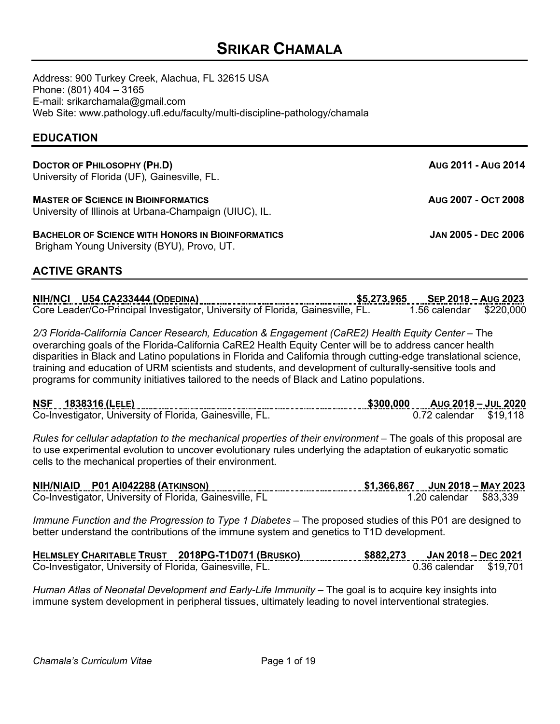# **SRIKAR CHAMALA**

Address: 900 Turkey Creek, Alachua, FL 32615 USA Phone: (801) 404 – 3165 E-mail: srikarchamala@gmail.com Web Site: www.pathology.ufl.edu/faculty/multi-discipline-pathology/chamala

# **EDUCATION**

| DOCTOR OF PHILOSOPHY (PH.D) |                                              |
|-----------------------------|----------------------------------------------|
|                             | University of Florida (UF), Gainesville, FL. |

**MASTER OF SCIENCE IN BIOINFORMATICS AUG 2007 - OCT 2008** University of Illinois at Urbana-Champaign (UIUC), IL.

**BACHELOR OF SCIENCE WITH HONORS IN BIOINFORMATICS JAN 2005 - DEC 2006** Brigham Young University (BYU), Provo, UT.

# **ACTIVE GRANTS**

**NIH/NCI U54 CA233444 (ODEDINA) \$5,273,965 SEP 2018 – AUG 2023** Core Leader/Co-Principal Investigator, University of Florida*,* Gainesville, FL. 1.56 calendar \$220,000

*2/3 Florida-California Cancer Research, Education & Engagement (CaRE2) Health Equity Center* – The overarching goals of the Florida-California CaRE2 Health Equity Center will be to address cancer health disparities in Black and Latino populations in Florida and California through cutting-edge translational science, training and education of URM scientists and students, and development of culturally-sensitive tools and programs for community initiatives tailored to the needs of Black and Latino populations.

| <b>NSF</b><br>1838316 (LELE)<br>                         | \$300,000 | AUG 2018 - JUL 2020 |          |
|----------------------------------------------------------|-----------|---------------------|----------|
| Co-Investigator, University of Florida, Gainesville, FL. |           | 0.72 calendar       | \$19.118 |

*Rules for cellular adaptation to the mechanical properties of their environment* – The goals of this proposal are to use experimental evolution to uncover evolutionary rules underlying the adaptation of eukaryotic somatic cells to the mechanical properties of their environment.

| NIH/NIAID P01 AI042288 (ATKINSON)                       | $$1.366.867$ JUN 2018 - MAY 2023 |  |
|---------------------------------------------------------|----------------------------------|--|
| Co-Investigator, University of Florida, Gainesville, FL | 1.20 calendar \$83,339           |  |

*Immune Function and the Progression to Type 1 Diabetes* – The proposed studies of this P01 are designed to better understand the contributions of the immune system and genetics to T1D development.

| HELMSLEY CHARITABLE TRUST 2018PG-T1D071 (BRUSKO)<br>------------ | . | \$882.273 | JAN 2018 – DEC 2021    |  |
|------------------------------------------------------------------|---|-----------|------------------------|--|
| Co-Investigator, University of Florida, Gainesville, FL.         |   |           | 0.36 calendar \$19,701 |  |

*Human Atlas of Neonatal Development and Early-Life Immunity* – The goal is to acquire key insights into immune system development in peripheral tissues, ultimately leading to novel interventional strategies.

**DOCTOR OF PHILOSOPHY (PH.D) AUG 2011 - AUG 2014**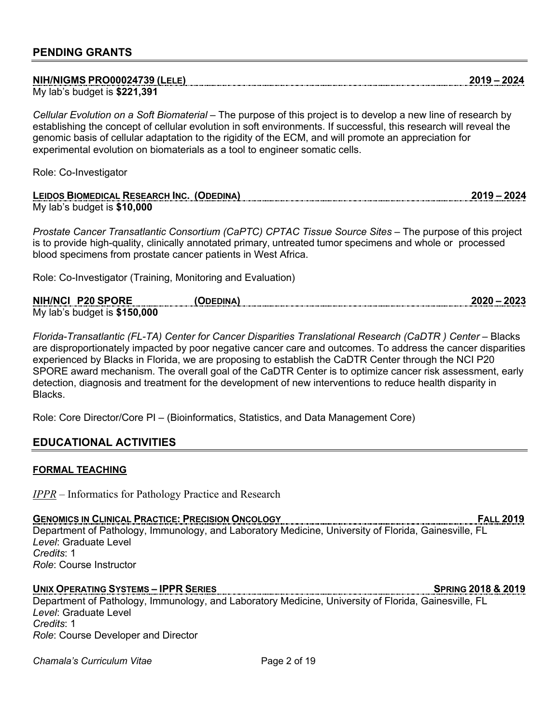| NIH/NIGMS PRO00024739 (LELE)<br>تحنيهن وينجين والمراج أحنيهن والحناجات والمناصر والمناصر والمنتجين والمنتجين والمنتجين والمنتجين والمنتجين والمنتجين<br>.<br>. |  |
|----------------------------------------------------------------------------------------------------------------------------------------------------------------|--|
| 1,391<br>My lab's budget is \$221.                                                                                                                             |  |

*Cellular Evolution on a Soft Biomaterial* – The purpose of this project is to develop a new line of research by establishing the concept of cellular evolution in soft environments. If successful, this research will reveal the genomic basis of cellular adaptation to the rigidity of the ECM, and will promote an appreciation for experimental evolution on biomaterials as a tool to engineer somatic cells.

Role: Co-Investigator

| LEIDOS BIOMEDICAL RESEARCH INC. (ODEDINA) | מחר, |
|-------------------------------------------|------|
| My lab's budget is $$10,000$              |      |

*Prostate Cancer Transatlantic Consortium (CaPTC) CPTAC Tissue Source Sites* – The purpose of this project is to provide high-quality, clinically annotated primary, untreated tumor specimens and whole or processed blood specimens from prostate cancer patients in West Africa.

Role: Co-Investigator (Training, Monitoring and Evaluation)

| NIH/NCI P20 SPORE             | <b>ODEDINA</b> | 2020 – 2023 |
|-------------------------------|----------------|-------------|
| My lab's budget is $$150,000$ |                |             |

*Florida-Transatlantic (FL-TA) Center for Cancer Disparities Translational Research (CaDTR) Center – Blacks* are disproportionately impacted by poor negative cancer care and outcomes. To address the cancer disparities experienced by Blacks in Florida, we are proposing to establish the CaDTR Center through the NCI P20 SPORE award mechanism. The overall goal of the CaDTR Center is to optimize cancer risk assessment, early detection, diagnosis and treatment for the development of new interventions to reduce health disparity in **Blacks** 

Role: Core Director/Core PI – (Bioinformatics, Statistics, and Data Management Core)

## **EDUCATIONAL ACTIVITIES**

### **FORMAL TEACHING**

*IPPR* – Informatics for Pathology Practice and Research

### **GENOMICS IN CLINICAL PRACTICE: PRECISION ONCOLOGY FALL 2019**

Department of Pathology, Immunology, and Laboratory Medicine, University of Florida, Gainesville, FL *Level*: Graduate Level *Credits*: 1

*Role*: Course Instructor

### **UNIX OPERATING SYSTEMS – IPPR SERIES SPRING 2018 & 2019**

Department of Pathology, Immunology, and Laboratory Medicine, University of Florida, Gainesville, FL *Level*: Graduate Level *Credits*: 1 *Role*: Course Developer and Director

**Chamala's Curriculum Vitae Community Chamala's Curriculum Vitae Community Community Page 2 of 19**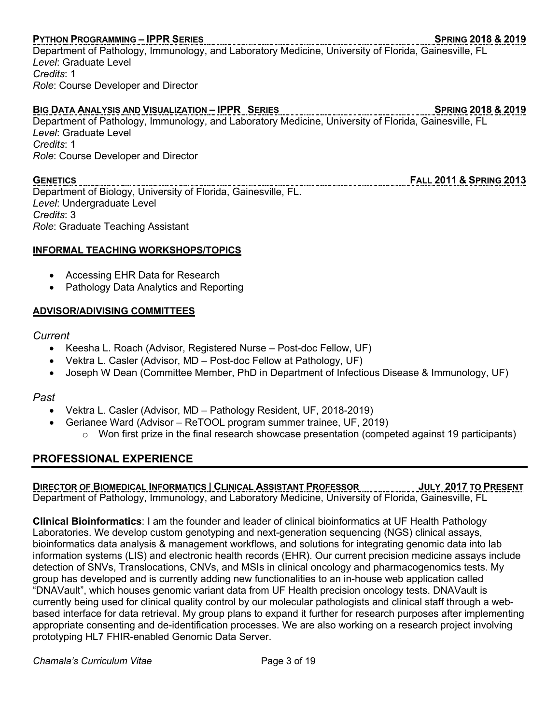# **PYTHON PROGRAMMING – IPPR SERIES SPRING 2018 & 2019**

Department of Pathology, Immunology, and Laboratory Medicine, University of Florida, Gainesville, FL *Level*: Graduate Level *Credits*: 1

*Role*: Course Developer and Director

# **BIG DATA ANALYSIS AND VISUALIZATION – IPPR SERIES SPRING 2018 & 2019**

Department of Pathology, Immunology, and Laboratory Medicine, University of Florida, Gainesville, FL *Level*: Graduate Level *Credits*: 1 *Role*: Course Developer and Director

Department of Biology, University of Florida, Gainesville, FL. *Level*: Undergraduate Level *Credits*: 3 *Role*: Graduate Teaching Assistant

### **INFORMAL TEACHING WORKSHOPS/TOPICS**

- Accessing EHR Data for Research
- Pathology Data Analytics and Reporting

## **ADVISOR/ADIVISING COMMITTEES**

### *Current*

- Keesha L. Roach (Advisor, Registered Nurse Post-doc Fellow, UF)
- Vektra L. Casler (Advisor, MD Post-doc Fellow at Pathology, UF)
- Joseph W Dean (Committee Member, PhD in Department of Infectious Disease & Immunology, UF)

### *Past*

- Vektra L. Casler (Advisor, MD Pathology Resident, UF, 2018-2019)
- Gerianee Ward (Advisor ReTOOL program summer trainee, UF, 2019)
	- $\circ$  Won first prize in the final research showcase presentation (competed against 19 participants)

# **PROFESSIONAL EXPERIENCE**

# **DIRECTOR OF BIOMEDICAL INFORMATICS | CLINICAL ASSISTANT PROFESSOR JULY 2017 TO PRESENT**

Department of Pathology, Immunology, and Laboratory Medicine, University of Florida, Gainesville, FL

**Clinical Bioinformatics**: I am the founder and leader of clinical bioinformatics at UF Health Pathology Laboratories. We develop custom genotyping and next-generation sequencing (NGS) clinical assays, bioinformatics data analysis & management workflows, and solutions for integrating genomic data into lab information systems (LIS) and electronic health records (EHR). Our current precision medicine assays include detection of SNVs, Translocations, CNVs, and MSIs in clinical oncology and pharmacogenomics tests. My group has developed and is currently adding new functionalities to an in-house web application called "DNAVault", which houses genomic variant data from UF Health precision oncology tests. DNAVault is currently being used for clinical quality control by our molecular pathologists and clinical staff through a webbased interface for data retrieval. My group plans to expand it further for research purposes after implementing appropriate consenting and de-identification processes. We are also working on a research project involving prototyping HL7 FHIR-enabled Genomic Data Server.

**GENETICS FALL 2011 & SPRING 2013**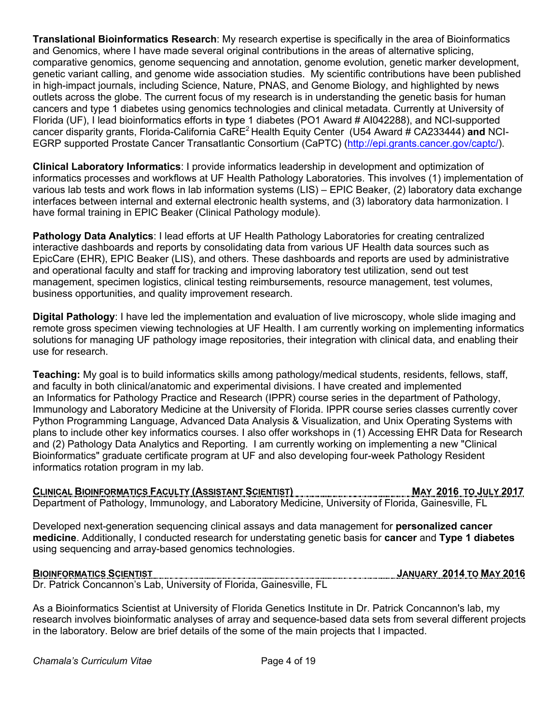**Translational Bioinformatics Research**: My research expertise is specifically in the area of Bioinformatics and Genomics, where I have made several original contributions in the areas of alternative splicing, comparative genomics, genome sequencing and annotation, genome evolution, genetic marker development, genetic variant calling, and genome wide association studies. My scientific contributions have been published in high-impact journals, including Science, Nature, PNAS, and Genome Biology, and highlighted by news outlets across the globe. The current focus of my research is in understanding the genetic basis for human cancers and type 1 diabetes using genomics technologies and clinical metadata. Currently at University of Florida (UF), I lead bioinformatics efforts in **t**ype 1 diabetes (PO1 Award # AI042288), and NCI-supported cancer disparity grants, Florida-California CaRE2 Health Equity Center(U54 Award # CA233444) **and** NCI-EGRP supported Prostate Cancer Transatlantic Consortium (CaPTC) (http://epi.grants.cancer.gov/captc/).

**Clinical Laboratory Informatics**: I provide informatics leadership in development and optimization of informatics processes and workflows at UF Health Pathology Laboratories. This involves (1) implementation of various lab tests and work flows in lab information systems (LIS) – EPIC Beaker, (2) laboratory data exchange interfaces between internal and external electronic health systems, and (3) laboratory data harmonization. I have formal training in EPIC Beaker (Clinical Pathology module).

**Pathology Data Analytics**: I lead efforts at UF Health Pathology Laboratories for creating centralized interactive dashboards and reports by consolidating data from various UF Health data sources such as EpicCare (EHR), EPIC Beaker (LIS), and others. These dashboards and reports are used by administrative and operational faculty and staff for tracking and improving laboratory test utilization, send out test management, specimen logistics, clinical testing reimbursements, resource management, test volumes, business opportunities, and quality improvement research.

**Digital Pathology**: I have led the implementation and evaluation of live microscopy, whole slide imaging and remote gross specimen viewing technologies at UF Health. I am currently working on implementing informatics solutions for managing UF pathology image repositories, their integration with clinical data, and enabling their use for research.

**Teaching:** My goal is to build informatics skills among pathology/medical students, residents, fellows, staff, and faculty in both clinical/anatomic and experimental divisions. I have created and implemented an Informatics for Pathology Practice and Research (IPPR) course series in the department of Pathology, Immunology and Laboratory Medicine at the University of Florida. IPPR course series classes currently cover Python Programming Language, Advanced Data Analysis & Visualization, and Unix Operating Systems with plans to include other key informatics courses. I also offer workshops in (1) Accessing EHR Data for Research and (2) Pathology Data Analytics and Reporting. I am currently working on implementing a new "Clinical Bioinformatics" graduate certificate program at UF and also developing four-week Pathology Resident informatics rotation program in my lab.

# **CLINICAL BIOINFORMATICS FACULTY (ASSISTANT SCIENTIST)** MAY 2016 TO JULY 2017

Department of Pathology, Immunology, and Laboratory Medicine, University of Florida, Gainesville, FL

Developed next-generation sequencing clinical assays and data management for **personalized cancer medicine**. Additionally, I conducted research for understating genetic basis for **cancer** and **Type 1 diabetes** using sequencing and array-based genomics technologies.

Dr. Patrick Concannon's Lab, University of Florida, Gainesville, FL

As a Bioinformatics Scientist at University of Florida Genetics Institute in Dr. Patrick Concannon's lab, my research involves bioinformatic analyses of array and sequence-based data sets from several different projects in the laboratory. Below are brief details of the some of the main projects that I impacted.

**BIOINFORMATICS SCIENTIST JANUARY 2014 TO MAY 2016**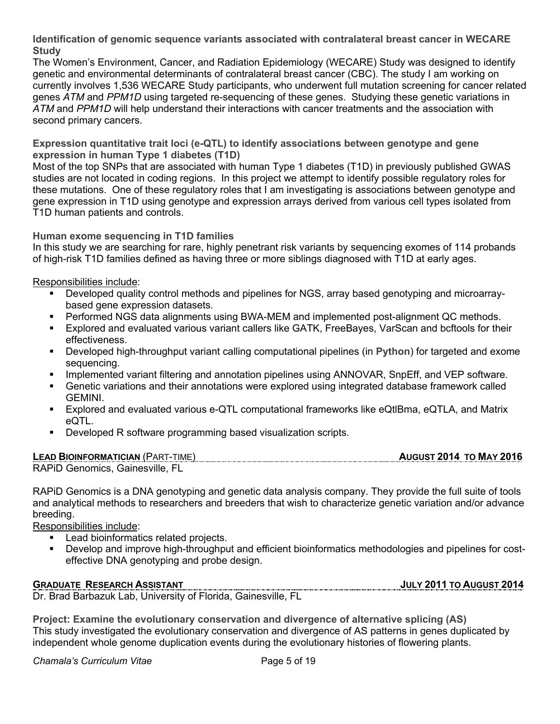**Identification of genomic sequence variants associated with contralateral breast cancer in WECARE Study**

The Women's Environment, Cancer, and Radiation Epidemiology (WECARE) Study was designed to identify genetic and environmental determinants of contralateral breast cancer (CBC). The study I am working on currently involves 1,536 WECARE Study participants, who underwent full mutation screening for cancer related genes *ATM* and *PPM1D* using targeted re-sequencing of these genes. Studying these genetic variations in *ATM* and *PPM1D* will help understand their interactions with cancer treatments and the association with second primary cancers.

**Expression quantitative trait loci (e-QTL) to identify associations between genotype and gene expression in human Type 1 diabetes (T1D)**

Most of the top SNPs that are associated with human Type 1 diabetes (T1D) in previously published GWAS studies are not located in coding regions. In this project we attempt to identify possible regulatory roles for these mutations. One of these regulatory roles that I am investigating is associations between genotype and gene expression in T1D using genotype and expression arrays derived from various cell types isolated from T1D human patients and controls.

## **Human exome sequencing in T1D families**

In this study we are searching for rare, highly penetrant risk variants by sequencing exomes of 114 probands of high-risk T1D families defined as having three or more siblings diagnosed with T1D at early ages.

Responsibilities include:

- Developed quality control methods and pipelines for NGS, array based genotyping and microarraybased gene expression datasets.
- Performed NGS data alignments using BWA-MEM and implemented post-alignment QC methods.
- Explored and evaluated various variant callers like GATK, FreeBayes, VarScan and bcftools for their effectiveness.
- § Developed high-throughput variant calling computational pipelines (in **Python**) for targeted and exome sequencing.
- Implemented variant filtering and annotation pipelines using ANNOVAR, SnpEff, and VEP software.
- § Genetic variations and their annotations were explored using integrated database framework called GEMINI.
- § Explored and evaluated various e-QTL computational frameworks like eQtlBma, eQTLA, and Matrix eQTL.
- Developed R software programming based visualization scripts.

### **LEAD BIOINFORMATICIAN** (PART-TIME) **AUGUST 2014 TO MAY 2016** RAPiD Genomics, Gainesville, FL

RAPiD Genomics is a DNA genotyping and genetic data analysis company. They provide the full suite of tools and analytical methods to researchers and breeders that wish to characterize genetic variation and/or advance breeding.

Responsibilities include:

- Lead bioinformatics related projects.
- § Develop and improve high-throughput and efficient bioinformatics methodologies and pipelines for costeffective DNA genotyping and probe design.

# **GRADUATE RESEARCH ASSISTANT JULY 2011 TO AUGUST 2014**

Dr. Brad Barbazuk Lab, University of Florida, Gainesville, FL

**Project: Examine the evolutionary conservation and divergence of alternative splicing (AS)** This study investigated the evolutionary conservation and divergence of AS patterns in genes duplicated by independent whole genome duplication events during the evolutionary histories of flowering plants.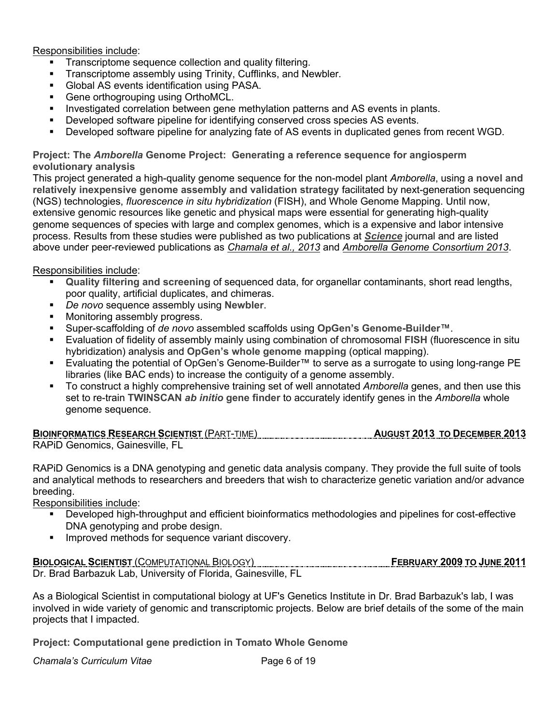Responsibilities include:

- Transcriptome sequence collection and quality filtering.
- § Transcriptome assembly using Trinity, Cufflinks, and Newbler.
- Global AS events identification using PASA.
- Gene orthogrouping using OrthoMCL.
- Investigated correlation between gene methylation patterns and AS events in plants.
- Developed software pipeline for identifying conserved cross species AS events.
- Developed software pipeline for analyzing fate of AS events in duplicated genes from recent WGD.

## **Project: The** *Amborella* **Genome Project: Generating a reference sequence for angiosperm evolutionary analysis**

This project generated a high-quality genome sequence for the non-model plant *Amborella*, using a **novel and relatively inexpensive genome assembly and validation strategy** facilitated by next-generation sequencing (NGS) technologies, *fluorescence in situ hybridization* (FISH), and Whole Genome Mapping. Until now, extensive genomic resources like genetic and physical maps were essential for generating high-quality genome sequences of species with large and complex genomes, which is a expensive and labor intensive process. Results from these studies were published as two publications at *Science* journal and are listed above under peer-reviewed publications as *Chamala et al., 2013* and *Amborella Genome Consortium 2013*.

## Responsibilities include:

- § **Quality filtering and screening** of sequenced data, for organellar contaminants, short read lengths, poor quality, artificial duplicates, and chimeras.
- § *De novo* sequence assembly using **Newbler**.
- **Monitoring assembly progress.**
- § Super-scaffolding of *de novo* assembled scaffolds using **OpGen's Genome-Builder**™.
- § Evaluation of fidelity of assembly mainly using combination of chromosomal **FISH** (fluorescence in situ hybridization) analysis and **OpGen's whole genome mapping** (optical mapping).
- Evaluating the potential of OpGen's Genome-Builder™ to serve as a surrogate to using long-range PE libraries (like BAC ends) to increase the contiguity of a genome assembly.
- § To construct a highly comprehensive training set of well annotated *Amborella* genes, and then use this set to re-train **TWINSCAN** *ab initio* **gene finder** to accurately identify genes in the *Amborella* whole genome sequence.

### **BIOINFORMATICS RESEARCH SCIENTIST** (PART-TIME) **AUGUST 2013 TO DECEMBER 2013** RAPiD Genomics, Gainesville, FL

RAPiD Genomics is a DNA genotyping and genetic data analysis company. They provide the full suite of tools and analytical methods to researchers and breeders that wish to characterize genetic variation and/or advance breeding.

Responsibilities include:

- § Developed high-throughput and efficient bioinformatics methodologies and pipelines for cost-effective DNA genotyping and probe design.
- **■** Improved methods for sequence variant discovery.

## **BIOLOGICAL SCIENTIST** (COMPUTATIONAL BIOLOGY) **FEBRUARY 2009 TO JUNE 2011**

Dr. Brad Barbazuk Lab, University of Florida, Gainesville, FL

As a Biological Scientist in computational biology at UF's Genetics Institute in Dr. Brad Barbazuk's lab, I was involved in wide variety of genomic and transcriptomic projects. Below are brief details of the some of the main projects that I impacted.

**Project: Computational gene prediction in Tomato Whole Genome**

**Chamala's Curriculum Vitae Community Chamala's Curriculum Vitae Community Chamala**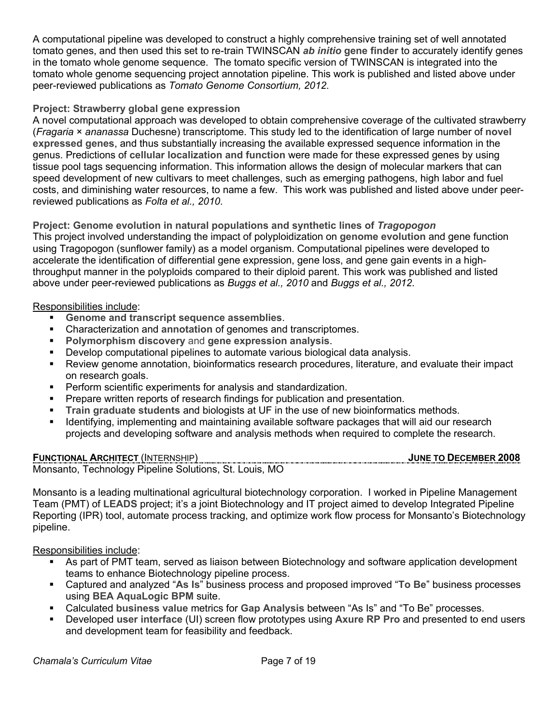A computational pipeline was developed to construct a highly comprehensive training set of well annotated tomato genes, and then used this set to re-train TWINSCAN *ab initio* **gene finder** to accurately identify genes in the tomato whole genome sequence. The tomato specific version of TWINSCAN is integrated into the tomato whole genome sequencing project annotation pipeline. This work is published and listed above under peer-reviewed publications as *Tomato Genome Consortium, 2012*.

# **Project: Strawberry global gene expression**

A novel computational approach was developed to obtain comprehensive coverage of the cultivated strawberry (*Fragaria* × *ananassa* Duchesne) transcriptome. This study led to the identification of large number of **novel expressed genes**, and thus substantially increasing the available expressed sequence information in the genus. Predictions of **cellular localization and function** were made for these expressed genes by using tissue pool tags sequencing information. This information allows the design of molecular markers that can speed development of new cultivars to meet challenges, such as emerging pathogens, high labor and fuel costs, and diminishing water resources, to name a few. This work was published and listed above under peerreviewed publications as *Folta et al., 2010*.

**Project: Genome evolution in natural populations and synthetic lines of** *Tragopogon* This project involved understanding the impact of polyploidization on **genome evolution** and gene function using Tragopogon (sunflower family) as a model organism. Computational pipelines were developed to accelerate the identification of differential gene expression, gene loss, and gene gain events in a highthroughput manner in the polyploids compared to their diploid parent. This work was published and listed above under peer-reviewed publications as *Buggs et al., 2010* and *Buggs et al., 2012*.

## Responsibilities include:

- § **Genome and transcript sequence assemblies**.
- § Characterization and **annotation** of genomes and transcriptomes.
- § **Polymorphism discovery** and **gene expression analysis**.
- § Develop computational pipelines to automate various biological data analysis.
- § Review genome annotation, bioinformatics research procedures, literature, and evaluate their impact on research goals.
- Perform scientific experiments for analysis and standardization.
- § Prepare written reports of research findings for publication and presentation.
- § **Train graduate students** and biologists at UF in the use of new bioinformatics methods.
- Identifying, implementing and maintaining available software packages that will aid our research projects and developing software and analysis methods when required to complete the research.

**FUNCTIONAL ARCHITECT** (INTERNSHIP) **JUNE TO DECEMBER 2008** Monsanto, Technology Pipeline Solutions, St. Louis, MO

Monsanto is a leading multinational agricultural biotechnology corporation. I worked in Pipeline Management Team (PMT) of **LEADS** project; it's a joint Biotechnology and IT project aimed to develop Integrated Pipeline Reporting (IPR) tool, automate process tracking, and optimize work flow process for Monsanto's Biotechnology pipeline.

Responsibilities include:

- As part of PMT team, served as liaison between Biotechnology and software application development teams to enhance Biotechnology pipeline process.
- § Captured and analyzed "**As Is**" business process and proposed improved "**To Be**" business processes using **BEA AquaLogic BPM** suite.
- § Calculated **business value** metrics for **Gap Analysis** between "As Is" and "To Be" processes.
- § Developed **user interface** (UI) screen flow prototypes using **Axure RP Pro** and presented to end users and development team for feasibility and feedback.

**Chamala's Curriculum Vitae Community Chamala's Curriculum Vitae Community Community Page 7 of 19**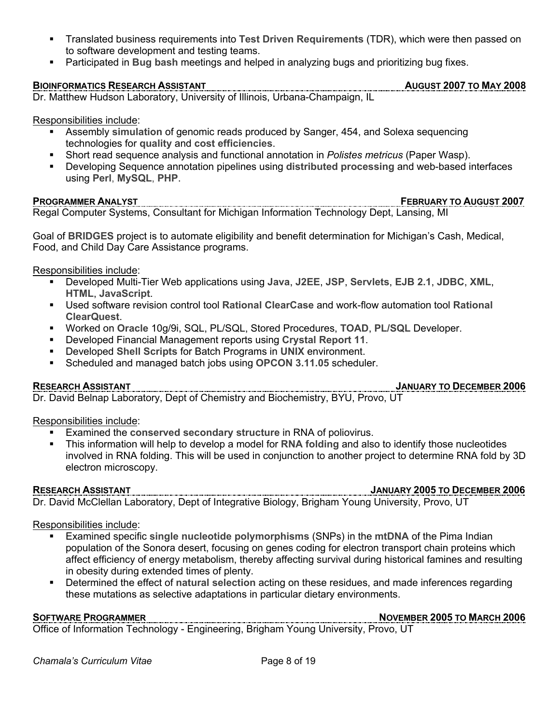- § Translated business requirements into **Test Driven Requirements** (TDR), which were then passed on to software development and testing teams.
- **Participated in Bug bash meetings and helped in analyzing bugs and prioritizing bug fixes.**

# **BIOINFORMATICS RESEARCH ASSISTANT AUGUST 2007 TO MAY 2008**

Dr. Matthew Hudson Laboratory, University of Illinois, Urbana-Champaign, IL

Responsibilities include:

- § Assembly **simulation** of genomic reads produced by Sanger, 454, and Solexa sequencing technologies for **quality** and **cost efficiencies**.
- § Short read sequence analysis and functional annotation in *Polistes metricus* (Paper Wasp).
- § Developing Sequence annotation pipelines using **distributed processing** and web-based interfaces using **Perl**, **MySQL**, **PHP**.

### **PROGRAMMER ANALYST FEBRUARY TO AUGUST 2007** Regal Computer Systems, Consultant for Michigan Information Technology Dept, Lansing, MI

Goal of **BRIDGES** project is to automate eligibility and benefit determination for Michigan's Cash, Medical, Food, and Child Day Care Assistance programs.

Responsibilities include:

- § Developed Multi-Tier Web applications using **Java**, **J2EE**, **JSP**, **Servlets**, **EJB 2.1**, **JDBC**, **XML**, **HTML**, **JavaScript**.
- § Used software revision control tool **Rational ClearCase** and work-flow automation tool **Rational ClearQuest**.
- § Worked on **Oracle** 10g/9i, SQL, PL/SQL, Stored Procedures, **TOAD**, **PL/SQL** Developer.
- § Developed Financial Management reports using **Crystal Report 11**.
- § Developed **Shell Scripts** for Batch Programs in **UNIX** environment.
- § Scheduled and managed batch jobs using **OPCON 3.11.05** scheduler.

**RESEARCH ASSISTANT JANUARY TO DECEMBER 2006**

Dr. David Belnap Laboratory, Dept of Chemistry and Biochemistry, BYU, Provo, UT

Responsibilities include:

- § Examined the **conserved secondary structure** in RNA of poliovirus.
- § This information will help to develop a model for **RNA folding** and also to identify those nucleotides involved in RNA folding. This will be used in conjunction to another project to determine RNA fold by 3D electron microscopy.

# **RESEARCH ASSISTANT JANUARY 2005 TO DECEMBER 2006**

Dr. David McClellan Laboratory, Dept of Integrative Biology, Brigham Young University, Provo, UT

Responsibilities include:

- § Examined specific **single nucleotide polymorphisms** (SNPs) in the **mtDNA** of the Pima Indian population of the Sonora desert, focusing on genes coding for electron transport chain proteins which affect efficiency of energy metabolism, thereby affecting survival during historical famines and resulting in obesity during extended times of plenty.
- § Determined the effect of **natural selection** acting on these residues, and made inferences regarding these mutations as selective adaptations in particular dietary environments.

**SOFTWARE PROGRAMMER NOVEMBER 2005 TO MARCH 2006**

Office of Information Technology - Engineering, Brigham Young University, Provo, UT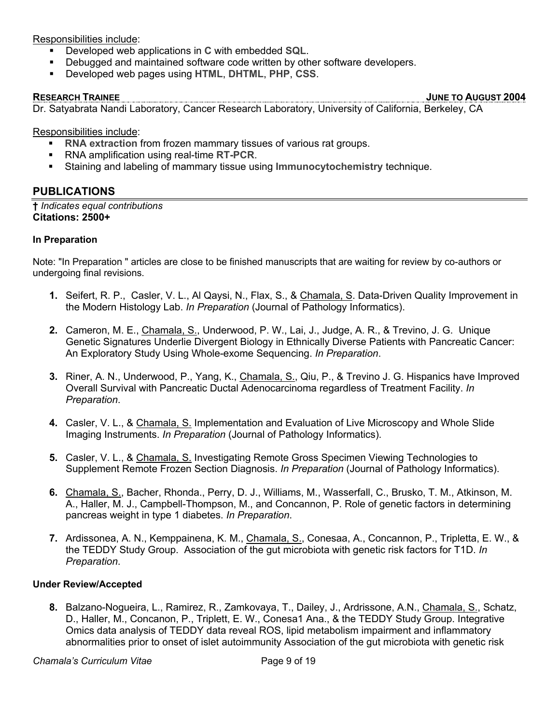Responsibilities include:

- § Developed web applications in **C** with embedded **SQL**.
- Debugged and maintained software code written by other software developers.
- § Developed web pages using **HTML**, **DHTML**, **PHP**, **CSS**.

**RESEARCH TRAINEE JUNE TO AUGUST 2004**

Dr. Satyabrata Nandi Laboratory, Cancer Research Laboratory, University of California, Berkeley, CA

Responsibilities include:

- **RNA extraction** from frozen mammary tissues of various rat groups.
- § RNA amplification using real-time **RT-PCR**.
- § Staining and labeling of mammary tissue using **Immunocytochemistry** technique.

# **PUBLICATIONS**

**†** *Indicates equal contributions* **Citations: 2500+**

### **In Preparation**

Note: "In Preparation " articles are close to be finished manuscripts that are waiting for review by co-authors or undergoing final revisions.

- **1.** Seifert, R. P., Casler, V. L., Al Qaysi, N., Flax, S., & Chamala, S. Data-Driven Quality Improvement in the Modern Histology Lab. *In Preparation* (Journal of Pathology Informatics).
- **2.** Cameron, M. E., Chamala, S., Underwood, P. W., Lai, J., Judge, A. R., & Trevino, J. G. Unique Genetic Signatures Underlie Divergent Biology in Ethnically Diverse Patients with Pancreatic Cancer: An Exploratory Study Using Whole-exome Sequencing. *In Preparation*.
- **3.** Riner, A. N., Underwood, P., Yang, K., Chamala, S., Qiu, P., & Trevino J. G. Hispanics have Improved Overall Survival with Pancreatic Ductal Adenocarcinoma regardless of Treatment Facility. *In Preparation*.
- **4.** Casler, V. L., & Chamala, S. Implementation and Evaluation of Live Microscopy and Whole Slide Imaging Instruments. *In Preparation* (Journal of Pathology Informatics).
- **5.** Casler, V. L., & Chamala, S. Investigating Remote Gross Specimen Viewing Technologies to Supplement Remote Frozen Section Diagnosis. *In Preparation* (Journal of Pathology Informatics).
- **6.** Chamala, S., Bacher, Rhonda., Perry, D. J., Williams, M., Wasserfall, C., Brusko, T. M., Atkinson, M. A., Haller, M. J., Campbell-Thompson, M., and Concannon, P. Role of genetic factors in determining pancreas weight in type 1 diabetes. *In Preparation*.
- **7.** Ardissonea, A. N., Kemppainena, K. M., Chamala, S., Conesaa, A., Concannon, P., Tripletta, E. W., & the TEDDY Study Group. Association of the gut microbiota with genetic risk factors for T1D. *In Preparation*.

### **Under Review/Accepted**

**8.** Balzano-Nogueira, L., Ramirez, R., Zamkovaya, T., Dailey, J., Ardrissone, A.N., Chamala, S., Schatz, D., Haller, M., Concanon, P., Triplett, E. W., Conesa1 Ana., & the TEDDY Study Group. Integrative Omics data analysis of TEDDY data reveal ROS, lipid metabolism impairment and inflammatory abnormalities prior to onset of islet autoimmunity Association of the gut microbiota with genetic risk

**Chamala's Curriculum Vitae Chamala's Curriculum Vitae Chamala**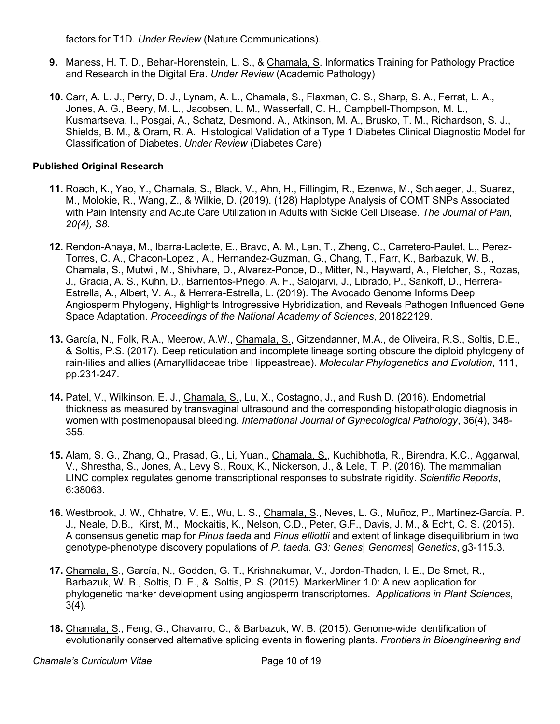factors for T1D. *Under Review* (Nature Communications).

- **9.** Maness, H. T. D., Behar-Horenstein, L. S., & Chamala, S. Informatics Training for Pathology Practice and Research in the Digital Era. *Under Review* (Academic Pathology)
- **10.** Carr, A. L. J., Perry, D. J., Lynam, A. L., Chamala, S., Flaxman, C. S., Sharp, S. A., Ferrat, L. A., Jones, A. G., Beery, M. L., Jacobsen, L. M., Wasserfall, C. H., Campbell-Thompson, M. L., Kusmartseva, I., Posgai, A., Schatz, Desmond. A., Atkinson, M. A., Brusko, T. M., Richardson, S. J., Shields, B. M., & Oram, R. A. Histological Validation of a Type 1 Diabetes Clinical Diagnostic Model for Classification of Diabetes. *Under Review* (Diabetes Care)

# **Published Original Research**

- **11.** Roach, K., Yao, Y., Chamala, S., Black, V., Ahn, H., Fillingim, R., Ezenwa, M., Schlaeger, J., Suarez, M., Molokie, R., Wang, Z., & Wilkie, D. (2019). (128) Haplotype Analysis of COMT SNPs Associated with Pain Intensity and Acute Care Utilization in Adults with Sickle Cell Disease. *The Journal of Pain, 20(4), S8.*
- **12.** Rendon-Anaya, M., Ibarra-Laclette, E., Bravo, A. M., Lan, T., Zheng, C., Carretero-Paulet, L., Perez-Torres, C. A., Chacon-Lopez , A., Hernandez-Guzman, G., Chang, T., Farr, K., Barbazuk, W. B., Chamala, S., Mutwil, M., Shivhare, D., Alvarez-Ponce, D., Mitter, N., Hayward, A., Fletcher, S., Rozas, J., Gracia, A. S., Kuhn, D., Barrientos-Priego, A. F., Salojarvi, J., Librado, P., Sankoff, D., Herrera-Estrella, A., Albert, V. A., & Herrera-Estrella, L. (2019). The Avocado Genome Informs Deep Angiosperm Phylogeny, Highlights Introgressive Hybridization, and Reveals Pathogen Influenced Gene Space Adaptation. *Proceedings of the National Academy of Sciences*, 201822129.
- **13.** García, N., Folk, R.A., Meerow, A.W., Chamala, S., Gitzendanner, M.A., de Oliveira, R.S., Soltis, D.E., & Soltis, P.S. (2017). Deep reticulation and incomplete lineage sorting obscure the diploid phylogeny of rain-lilies and allies (Amaryllidaceae tribe Hippeastreae). *Molecular Phylogenetics and Evolution*, 111, pp.231-247.
- **14.** Patel, V., Wilkinson, E. J., Chamala, S., Lu, X., Costagno, J., and Rush D. (2016). Endometrial thickness as measured by transvaginal ultrasound and the corresponding histopathologic diagnosis in women with postmenopausal bleeding. *International Journal of Gynecological Pathology*, 36(4), 348- 355.
- **15.** Alam, S. G., Zhang, Q., Prasad, G., Li, Yuan., Chamala, S., Kuchibhotla, R., Birendra, K.C., Aggarwal, V., Shrestha, S., Jones, A., Levy S., Roux, K., Nickerson, J., & Lele, T. P. (2016). The mammalian LINC complex regulates genome transcriptional responses to substrate rigidity. *Scientific Reports*, 6:38063.
- **16.** Westbrook, J. W., Chhatre, V. E., Wu, L. S., Chamala, S., Neves, L. G., Muñoz, P., Martínez-García. P. J., Neale, D.B., Kirst, M., Mockaitis, K., Nelson, C.D., Peter, G.F., Davis, J. M., & Echt, C. S. (2015). A consensus genetic map for *Pinus taeda* and *Pinus elliottii* and extent of linkage disequilibrium in two genotype-phenotype discovery populations of *P. taeda*. *G3: Genes| Genomes| Genetics*, g3-115.3.
- **17.** Chamala, S., García, N., Godden, G. T., Krishnakumar, V., Jordon-Thaden, I. E., De Smet, R., Barbazuk, W. B., Soltis, D. E., & Soltis, P. S. (2015). MarkerMiner 1.0: A new application for phylogenetic marker development using angiosperm transcriptomes. *Applications in Plant Sciences*, 3(4).
- **18.** Chamala, S., Feng, G., Chavarro, C., & Barbazuk, W. B. (2015). Genome-wide identification of evolutionarily conserved alternative splicing events in flowering plants. *Frontiers in Bioengineering and*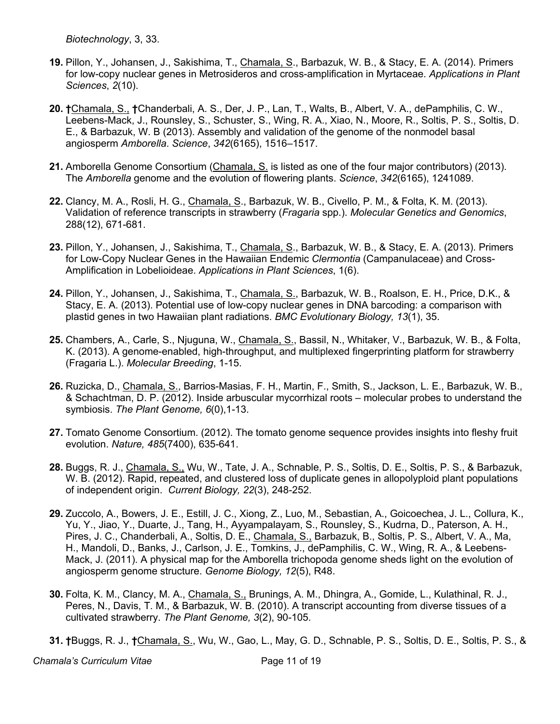*Biotechnology*, 3, 33.

- **19.** Pillon, Y., Johansen, J., Sakishima, T., Chamala, S., Barbazuk, W. B., & Stacy, E. A. (2014). Primers for low-copy nuclear genes in Metrosideros and cross-amplification in Myrtaceae. *Applications in Plant Sciences*, *2*(10).
- **20. †**Chamala, S., **†**Chanderbali, A. S., Der, J. P., Lan, T., Walts, B., Albert, V. A., dePamphilis, C. W., Leebens-Mack, J., Rounsley, S., Schuster, S., Wing, R. A., Xiao, N., Moore, R., Soltis, P. S., Soltis, D. E., & Barbazuk, W. B (2013). Assembly and validation of the genome of the nonmodel basal angiosperm *Amborella*. *Science*, *342*(6165), 1516–1517.
- **21.** Amborella Genome Consortium (Chamala, S. is listed as one of the four major contributors) (2013). The *Amborella* genome and the evolution of flowering plants. *Science*, *342*(6165), 1241089.
- **22.** Clancy, M. A., Rosli, H. G., Chamala, S., Barbazuk, W. B., Civello, P. M., & Folta, K. M. (2013). Validation of reference transcripts in strawberry (*Fragaria* spp.). *Molecular Genetics and Genomics*, 288(12), 671-681.
- **23.** Pillon, Y., Johansen, J., Sakishima, T., Chamala, S., Barbazuk, W. B., & Stacy, E. A. (2013). Primers for Low-Copy Nuclear Genes in the Hawaiian Endemic *Clermontia* (Campanulaceae) and Cross-Amplification in Lobelioideae. *Applications in Plant Sciences*, 1(6).
- **24.** Pillon, Y., Johansen, J., Sakishima, T., Chamala, S., Barbazuk, W. B., Roalson, E. H., Price, D.K., & Stacy, E. A. (2013). Potential use of low-copy nuclear genes in DNA barcoding: a comparison with plastid genes in two Hawaiian plant radiations. *BMC Evolutionary Biology, 13*(1), 35.
- **25.** Chambers, A., Carle, S., Njuguna, W., Chamala, S., Bassil, N., Whitaker, V., Barbazuk, W. B., & Folta, K. (2013). A genome-enabled, high-throughput, and multiplexed fingerprinting platform for strawberry (Fragaria L.). *Molecular Breeding*, 1-15.
- **26.** Ruzicka, D., Chamala, S., Barrios-Masias, F. H., Martin, F., Smith, S., Jackson, L. E., Barbazuk, W. B., & Schachtman, D. P. (2012). Inside arbuscular mycorrhizal roots – molecular probes to understand the symbiosis. *The Plant Genome, 6*(0),1-13.
- **27.** Tomato Genome Consortium. (2012). The tomato genome sequence provides insights into fleshy fruit evolution. *Nature, 485*(7400), 635-641.
- **28.** Buggs, R. J., Chamala, S., Wu, W., Tate, J. A., Schnable, P. S., Soltis, D. E., Soltis, P. S., & Barbazuk, W. B. (2012). Rapid, repeated, and clustered loss of duplicate genes in allopolyploid plant populations of independent origin. *Current Biology, 22*(3), 248-252.
- **29.** Zuccolo, A., Bowers, J. E., Estill, J. C., Xiong, Z., Luo, M., Sebastian, A., Goicoechea, J. L., Collura, K., Yu, Y., Jiao, Y., Duarte, J., Tang, H., Ayyampalayam, S., Rounsley, S., Kudrna, D., Paterson, A. H., Pires, J. C., Chanderbali, A., Soltis, D. E., Chamala, S., Barbazuk, B., Soltis, P. S., Albert, V. A., Ma, H., Mandoli, D., Banks, J., Carlson, J. E., Tomkins, J., dePamphilis, C. W., Wing, R. A., & Leebens-Mack, J. (2011). A physical map for the Amborella trichopoda genome sheds light on the evolution of angiosperm genome structure. *Genome Biology, 12*(5), R48.
- **30.** Folta, K. M., Clancy, M. A., Chamala, S., Brunings, A. M., Dhingra, A., Gomide, L., Kulathinal, R. J., Peres, N., Davis, T. M., & Barbazuk, W. B. (2010). A transcript accounting from diverse tissues of a cultivated strawberry. *The Plant Genome, 3*(2), 90-105.
- **31. †**Buggs, R. J., **†**Chamala, S., Wu, W., Gao, L., May, G. D., Schnable, P. S., Soltis, D. E., Soltis, P. S., &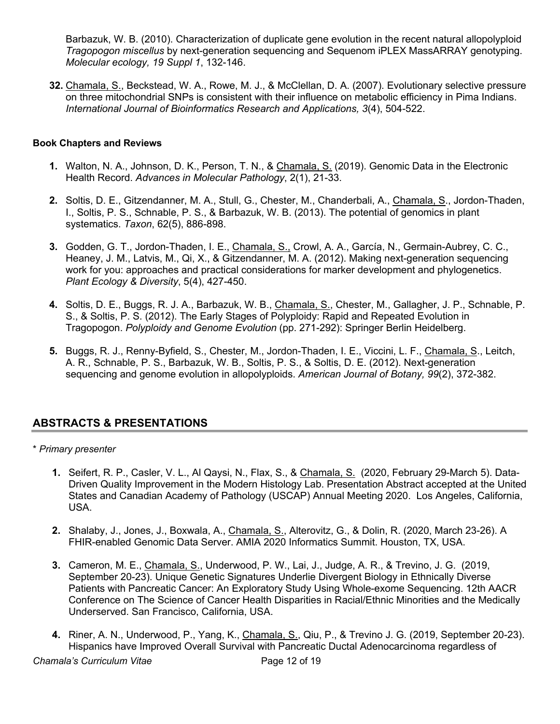Barbazuk, W. B. (2010). Characterization of duplicate gene evolution in the recent natural allopolyploid *Tragopogon miscellus* by next-generation sequencing and Sequenom iPLEX MassARRAY genotyping. *Molecular ecology, 19 Suppl 1*, 132-146.

**32.** Chamala, S., Beckstead, W. A., Rowe, M. J., & McClellan, D. A. (2007). Evolutionary selective pressure on three mitochondrial SNPs is consistent with their influence on metabolic efficiency in Pima Indians. *International Journal of Bioinformatics Research and Applications, 3*(4), 504-522.

# **Book Chapters and Reviews**

- **1.** Walton, N. A., Johnson, D. K., Person, T. N., & Chamala, S. (2019). Genomic Data in the Electronic Health Record. *Advances in Molecular Pathology*, 2(1), 21-33.
- **2.** Soltis, D. E., Gitzendanner, M. A., Stull, G., Chester, M., Chanderbali, A., Chamala, S., Jordon-Thaden, I., Soltis, P. S., Schnable, P. S., & Barbazuk, W. B. (2013). The potential of genomics in plant systematics. *Taxon*, 62(5), 886-898.
- **3.** Godden, G. T., Jordon-Thaden, I. E., Chamala, S., Crowl, A. A., García, N., Germain-Aubrey, C. C., Heaney, J. M., Latvis, M., Qi, X., & Gitzendanner, M. A. (2012). Making next-generation sequencing work for you: approaches and practical considerations for marker development and phylogenetics. *Plant Ecology & Diversity*, 5(4), 427-450.
- **4.** Soltis, D. E., Buggs, R. J. A., Barbazuk, W. B., Chamala, S., Chester, M., Gallagher, J. P., Schnable, P. S., & Soltis, P. S. (2012). The Early Stages of Polyploidy: Rapid and Repeated Evolution in Tragopogon. *Polyploidy and Genome Evolution* (pp. 271-292): Springer Berlin Heidelberg.
- **5.** Buggs, R. J., Renny-Byfield, S., Chester, M., Jordon-Thaden, I. E., Viccini, L. F., Chamala, S., Leitch, A. R., Schnable, P. S., Barbazuk, W. B., Soltis, P. S., & Soltis, D. E. (2012). Next-generation sequencing and genome evolution in allopolyploids. *American Journal of Botany, 99*(2), 372-382.

# **ABSTRACTS & PRESENTATIONS**

## \* *Primary presenter*

- **1.** Seifert, R. P., Casler, V. L., Al Qaysi, N., Flax, S., & Chamala, S. (2020, February 29-March 5). Data-Driven Quality Improvement in the Modern Histology Lab. Presentation Abstract accepted at the United States and Canadian Academy of Pathology (USCAP) Annual Meeting 2020. Los Angeles, California, USA.
- **2.** Shalaby, J., Jones, J., Boxwala, A., Chamala, S., Alterovitz, G., & Dolin, R. (2020, March 23-26). A FHIR-enabled Genomic Data Server. AMIA 2020 Informatics Summit. Houston, TX, USA.
- **3.** Cameron, M. E., Chamala, S., Underwood, P. W., Lai, J., Judge, A. R., & Trevino, J. G. (2019, September 20-23). Unique Genetic Signatures Underlie Divergent Biology in Ethnically Diverse Patients with Pancreatic Cancer: An Exploratory Study Using Whole-exome Sequencing. 12th AACR Conference on The Science of Cancer Health Disparities in Racial/Ethnic Minorities and the Medically Underserved. San Francisco, California, USA.
- **4.** Riner, A. N., Underwood, P., Yang, K., Chamala, S., Qiu, P., & Trevino J. G. (2019, September 20-23). Hispanics have Improved Overall Survival with Pancreatic Ductal Adenocarcinoma regardless of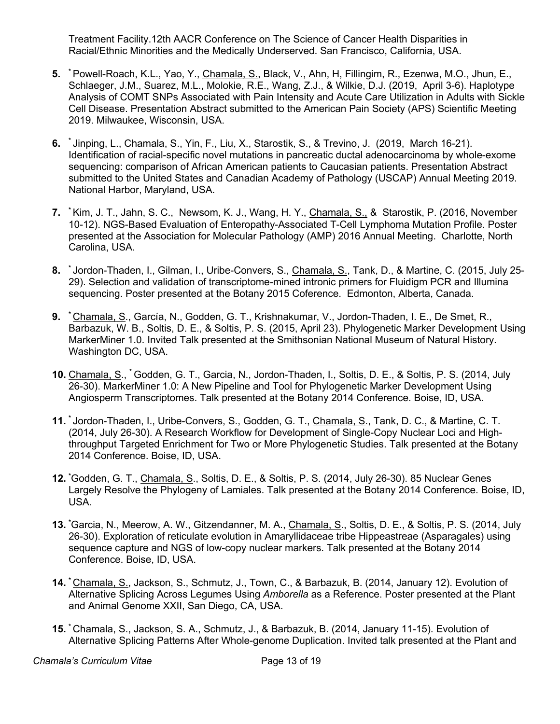Treatment Facility.12th AACR Conference on The Science of Cancer Health Disparities in Racial/Ethnic Minorities and the Medically Underserved. San Francisco, California, USA.

- **5. \*** Powell-Roach, K.L., Yao, Y., Chamala, S., Black, V., Ahn, H, Fillingim, R., Ezenwa, M.O., Jhun, E., Schlaeger, J.M., Suarez, M.L., Molokie, R.E., Wang, Z.J., & Wilkie, D.J. (2019, April 3-6). Haplotype Analysis of COMT SNPs Associated with Pain Intensity and Acute Care Utilization in Adults with Sickle Cell Disease. Presentation Abstract submitted to the American Pain Society (APS) Scientific Meeting 2019. Milwaukee, Wisconsin, USA.
- **6. \*** Jinping, L., Chamala, S., Yin, F., Liu, X., Starostik, S., & Trevino, J. (2019, March 16-21). Identification of racial-specific novel mutations in pancreatic ductal adenocarcinoma by whole-exome sequencing: comparison of African American patients to Caucasian patients. Presentation Abstract submitted to the United States and Canadian Academy of Pathology (USCAP) Annual Meeting 2019. National Harbor, Maryland, USA.
- **7. \*** Kim, J. T., Jahn, S. C., Newsom, K. J., Wang, H. Y., Chamala, S., & Starostik, P. (2016, November 10-12). NGS-Based Evaluation of Enteropathy-Associated T-Cell Lymphoma Mutation Profile. Poster presented at the Association for Molecular Pathology (AMP) 2016 Annual Meeting. Charlotte, North Carolina, USA.
- **8. \*** Jordon-Thaden, I., Gilman, I., Uribe-Convers, S., Chamala, S., Tank, D., & Martine, C. (2015, July 25- 29). Selection and validation of transcriptome-mined intronic primers for Fluidigm PCR and Illumina sequencing. Poster presented at the Botany 2015 Coference. Edmonton, Alberta, Canada.
- **9. \*** Chamala, S., García, N., Godden, G. T., Krishnakumar, V., Jordon-Thaden, I. E., De Smet, R., Barbazuk, W. B., Soltis, D. E., & Soltis, P. S. (2015, April 23). Phylogenetic Marker Development Using MarkerMiner 1.0. Invited Talk presented at the Smithsonian National Museum of Natural History. Washington DC, USA.
- **10.** Chamala, S., **\*** Godden, G. T., Garcia, N., Jordon-Thaden, I., Soltis, D. E., & Soltis, P. S. (2014, July 26-30). MarkerMiner 1.0: A New Pipeline and Tool for Phylogenetic Marker Development Using Angiosperm Transcriptomes. Talk presented at the Botany 2014 Conference. Boise, ID, USA.
- **11. \*** Jordon-Thaden, I., Uribe-Convers, S., Godden, G. T., Chamala, S., Tank, D. C., & Martine, C. T. (2014, July 26-30). A Research Workflow for Development of Single-Copy Nuclear Loci and Highthroughput Targeted Enrichment for Two or More Phylogenetic Studies. Talk presented at the Botany 2014 Conference. Boise, ID, USA.
- **12. \*** Godden, G. T., Chamala, S., Soltis, D. E., & Soltis, P. S. (2014, July 26-30). 85 Nuclear Genes Largely Resolve the Phylogeny of Lamiales. Talk presented at the Botany 2014 Conference. Boise, ID, USA.
- **13. \*** Garcia, N., Meerow, A. W., Gitzendanner, M. A., Chamala, S., Soltis, D. E., & Soltis, P. S. (2014, July 26-30). Exploration of reticulate evolution in Amaryllidaceae tribe Hippeastreae (Asparagales) using sequence capture and NGS of low-copy nuclear markers. Talk presented at the Botany 2014 Conference. Boise, ID, USA.
- **14. \*** Chamala, S., Jackson, S., Schmutz, J., Town, C., & Barbazuk, B. (2014, January 12). Evolution of Alternative Splicing Across Legumes Using *Amborella* as a Reference. Poster presented at the Plant and Animal Genome XXII, San Diego, CA, USA.
- **15. \*** Chamala, S., Jackson, S. A., Schmutz, J., & Barbazuk, B. (2014, January 11-15). Evolution of Alternative Splicing Patterns After Whole-genome Duplication. Invited talk presented at the Plant and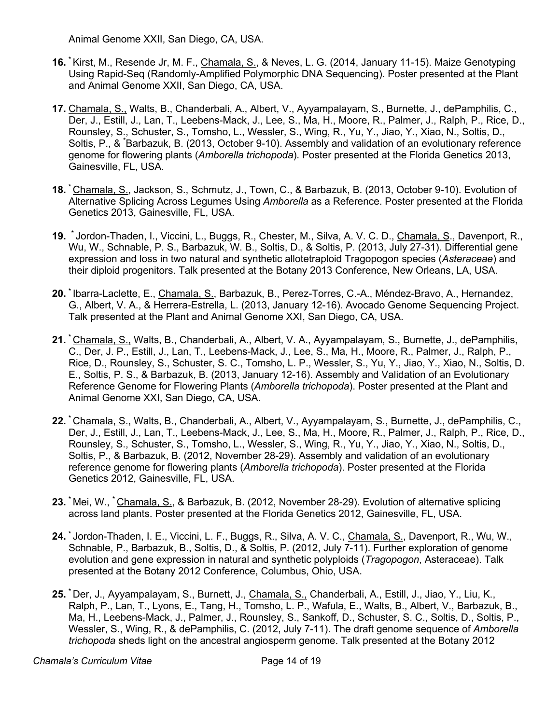Animal Genome XXII, San Diego, CA, USA.

- **16. \*** Kirst, M., Resende Jr, M. F., Chamala, S., & Neves, L. G. (2014, January 11-15). Maize Genotyping Using Rapid-Seq (Randomly-Amplified Polymorphic DNA Sequencing). Poster presented at the Plant and Animal Genome XXII, San Diego, CA, USA.
- **17.** Chamala, S., Walts, B., Chanderbali, A., Albert, V., Ayyampalayam, S., Burnette, J., dePamphilis, C., Der, J., Estill, J., Lan, T., Leebens-Mack, J., Lee, S., Ma, H., Moore, R., Palmer, J., Ralph, P., Rice, D., Rounsley, S., Schuster, S., Tomsho, L., Wessler, S., Wing, R., Yu, Y., Jiao, Y., Xiao, N., Soltis, D., Soltis, P., & **\*** Barbazuk, B. (2013, October 9-10). Assembly and validation of an evolutionary reference genome for flowering plants (*Amborella trichopoda*). Poster presented at the Florida Genetics 2013, Gainesville, FL, USA.
- **18. \*** Chamala, S., Jackson, S., Schmutz, J., Town, C., & Barbazuk, B. (2013, October 9-10). Evolution of Alternative Splicing Across Legumes Using *Amborella* as a Reference. Poster presented at the Florida Genetics 2013, Gainesville, FL, USA.
- **19. \*** Jordon-Thaden, I., Viccini, L., Buggs, R., Chester, M., Silva, A. V. C. D., Chamala, S., Davenport, R., Wu, W., Schnable, P. S., Barbazuk, W. B., Soltis, D., & Soltis, P. (2013, July 27-31). Differential gene expression and loss in two natural and synthetic allotetraploid Tragopogon species (*Asteraceae*) and their diploid progenitors. Talk presented at the Botany 2013 Conference, New Orleans, LA, USA.
- **20. \*** Ibarra-Laclette, E., Chamala, S., Barbazuk, B., Perez-Torres, C.-A., Méndez-Bravo, A., Hernandez, G., Albert, V. A., & Herrera-Estrella, L. (2013, January 12-16). Avocado Genome Sequencing Project. Talk presented at the Plant and Animal Genome XXI, San Diego, CA, USA.
- **21. \*** Chamala, S., Walts, B., Chanderbali, A., Albert, V. A., Ayyampalayam, S., Burnette, J., dePamphilis, C., Der, J. P., Estill, J., Lan, T., Leebens-Mack, J., Lee, S., Ma, H., Moore, R., Palmer, J., Ralph, P., Rice, D., Rounsley, S., Schuster, S. C., Tomsho, L. P., Wessler, S., Yu, Y., Jiao, Y., Xiao, N., Soltis, D. E., Soltis, P. S., & Barbazuk, B. (2013, January 12-16). Assembly and Validation of an Evolutionary Reference Genome for Flowering Plants (*Amborella trichopoda*). Poster presented at the Plant and Animal Genome XXI, San Diego, CA, USA.
- **22. \*** Chamala, S., Walts, B., Chanderbali, A., Albert, V., Ayyampalayam, S., Burnette, J., dePamphilis, C., Der, J., Estill, J., Lan, T., Leebens-Mack, J., Lee, S., Ma, H., Moore, R., Palmer, J., Ralph, P., Rice, D., Rounsley, S., Schuster, S., Tomsho, L., Wessler, S., Wing, R., Yu, Y., Jiao, Y., Xiao, N., Soltis, D., Soltis, P., & Barbazuk, B. (2012, November 28-29). Assembly and validation of an evolutionary reference genome for flowering plants (*Amborella trichopoda*). Poster presented at the Florida Genetics 2012, Gainesville, FL, USA.
- **23. \*** Mei, W., **\*** Chamala, S., & Barbazuk, B. (2012, November 28-29). Evolution of alternative splicing across land plants. Poster presented at the Florida Genetics 2012, Gainesville, FL, USA.
- **24. \*** Jordon-Thaden, I. E., Viccini, L. F., Buggs, R., Silva, A. V. C., Chamala, S., Davenport, R., Wu, W., Schnable, P., Barbazuk, B., Soltis, D., & Soltis, P. (2012, July 7-11). Further exploration of genome evolution and gene expression in natural and synthetic polyploids (*Tragopogon*, Asteraceae). Talk presented at the Botany 2012 Conference, Columbus, Ohio, USA.
- **25. \*** Der, J., Ayyampalayam, S., Burnett, J., Chamala, S., Chanderbali, A., Estill, J., Jiao, Y., Liu, K., Ralph, P., Lan, T., Lyons, E., Tang, H., Tomsho, L. P., Wafula, E., Walts, B., Albert, V., Barbazuk, B., Ma, H., Leebens-Mack, J., Palmer, J., Rounsley, S., Sankoff, D., Schuster, S. C., Soltis, D., Soltis, P., Wessler, S., Wing, R., & dePamphilis, C. (2012, July 7-11). The draft genome sequence of *Amborella trichopoda* sheds light on the ancestral angiosperm genome. Talk presented at the Botany 2012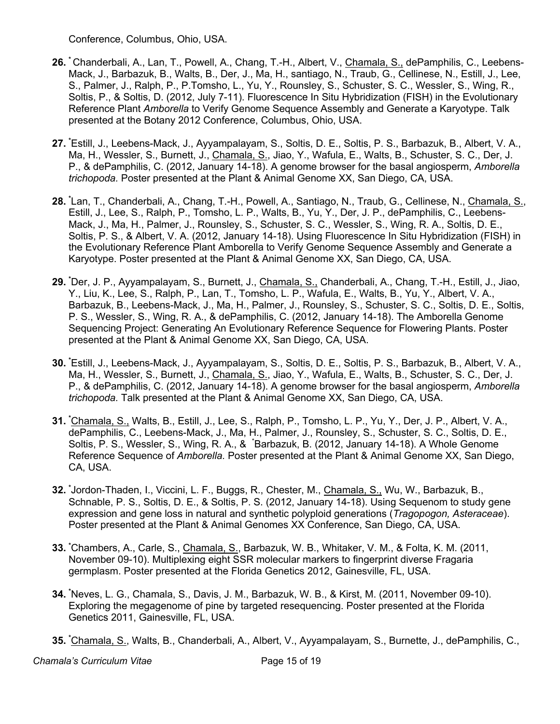Conference, Columbus, Ohio, USA.

- **26. \*** Chanderbali, A., Lan, T., Powell, A., Chang, T.-H., Albert, V., Chamala, S., dePamphilis, C., Leebens-Mack, J., Barbazuk, B., Walts, B., Der, J., Ma, H., santiago, N., Traub, G., Cellinese, N., Estill, J., Lee, S., Palmer, J., Ralph, P., P.Tomsho, L., Yu, Y., Rounsley, S., Schuster, S. C., Wessler, S., Wing, R., Soltis, P., & Soltis, D. (2012, July 7-11). Fluorescence In Situ Hybridization (FISH) in the Evolutionary Reference Plant *Amborella* to Verify Genome Sequence Assembly and Generate a Karyotype. Talk presented at the Botany 2012 Conference, Columbus, Ohio, USA.
- **27. \*** Estill, J., Leebens-Mack, J., Ayyampalayam, S., Soltis, D. E., Soltis, P. S., Barbazuk, B., Albert, V. A., Ma, H., Wessler, S., Burnett, J., Chamala, S., Jiao, Y., Wafula, E., Walts, B., Schuster, S. C., Der, J. P., & dePamphilis, C. (2012, January 14-18). A genome browser for the basal angiosperm, *Amborella trichopoda.* Poster presented at the Plant & Animal Genome XX, San Diego, CA, USA.
- **28. \*** Lan, T., Chanderbali, A., Chang, T.-H., Powell, A., Santiago, N., Traub, G., Cellinese, N., Chamala, S., Estill, J., Lee, S., Ralph, P., Tomsho, L. P., Walts, B., Yu, Y., Der, J. P., dePamphilis, C., Leebens-Mack, J., Ma, H., Palmer, J., Rounsley, S., Schuster, S. C., Wessler, S., Wing, R. A., Soltis, D. E., Soltis, P. S., & Albert, V. A. (2012, January 14-18). Using Fluorescence In Situ Hybridization (FISH) in the Evolutionary Reference Plant Amborella to Verify Genome Sequence Assembly and Generate a Karyotype. Poster presented at the Plant & Animal Genome XX, San Diego, CA, USA.
- **29. \*** Der, J. P., Ayyampalayam, S., Burnett, J., Chamala, S., Chanderbali, A., Chang, T.-H., Estill, J., Jiao, Y., Liu, K., Lee, S., Ralph, P., Lan, T., Tomsho, L. P., Wafula, E., Walts, B., Yu, Y., Albert, V. A., Barbazuk, B., Leebens-Mack, J., Ma, H., Palmer, J., Rounsley, S., Schuster, S. C., Soltis, D. E., Soltis, P. S., Wessler, S., Wing, R. A., & dePamphilis, C. (2012, January 14-18). The Amborella Genome Sequencing Project: Generating An Evolutionary Reference Sequence for Flowering Plants. Poster presented at the Plant & Animal Genome XX, San Diego, CA, USA.
- **30. \*** Estill, J., Leebens-Mack, J., Ayyampalayam, S., Soltis, D. E., Soltis, P. S., Barbazuk, B., Albert, V. A., Ma, H., Wessler, S., Burnett, J., Chamala, S., Jiao, Y., Wafula, E., Walts, B., Schuster, S. C., Der, J. P., & dePamphilis, C. (2012, January 14-18). A genome browser for the basal angiosperm, *Amborella trichopoda.* Talk presented at the Plant & Animal Genome XX, San Diego, CA, USA.
- **31. \*** Chamala, S., Walts, B., Estill, J., Lee, S., Ralph, P., Tomsho, L. P., Yu, Y., Der, J. P., Albert, V. A., dePamphilis, C., Leebens-Mack, J., Ma, H., Palmer, J., Rounsley, S., Schuster, S. C., Soltis, D. E., Soltis, P. S., Wessler, S., Wing, R. A., & \* Barbazuk, B. (2012, January 14-18). A Whole Genome Reference Sequence of *Amborella.* Poster presented at the Plant & Animal Genome XX, San Diego, CA, USA.
- **32. \*** Jordon-Thaden, I., Viccini, L. F., Buggs, R., Chester, M., Chamala, S., Wu, W., Barbazuk, B., Schnable, P. S., Soltis, D. E., & Soltis, P. S. (2012, January 14-18). Using Sequenom to study gene expression and gene loss in natural and synthetic polyploid generations (*Tragopogon, Asteraceae*). Poster presented at the Plant & Animal Genomes XX Conference, San Diego, CA, USA.
- **33. \*** Chambers, A., Carle, S., Chamala, S., Barbazuk, W. B., Whitaker, V. M., & Folta, K. M. (2011, November 09-10). Multiplexing eight SSR molecular markers to fingerprint diverse Fragaria germplasm. Poster presented at the Florida Genetics 2012, Gainesville, FL, USA.
- **34. \*** Neves, L. G., Chamala, S., Davis, J. M., Barbazuk, W. B., & Kirst, M. (2011, November 09-10). Exploring the megagenome of pine by targeted resequencing. Poster presented at the Florida Genetics 2011, Gainesville, FL, USA.
- **35. \*** Chamala, S., Walts, B., Chanderbali, A., Albert, V., Ayyampalayam, S., Burnette, J., dePamphilis, C.,

**Chamala's Curriculum Vitae Community Chamala's Curriculum Vitae Community Chamaca Page 15 of 19**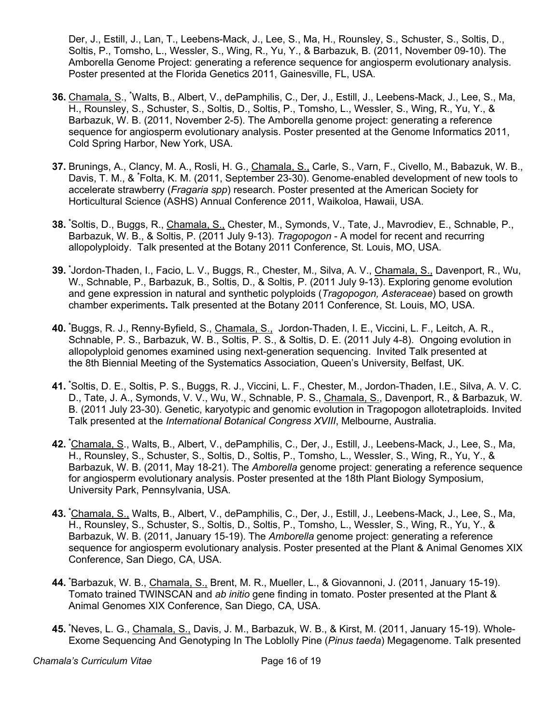Der, J., Estill, J., Lan, T., Leebens-Mack, J., Lee, S., Ma, H., Rounsley, S., Schuster, S., Soltis, D., Soltis, P., Tomsho, L., Wessler, S., Wing, R., Yu, Y., & Barbazuk, B. (2011, November 09-10). The Amborella Genome Project: generating a reference sequence for angiosperm evolutionary analysis. Poster presented at the Florida Genetics 2011, Gainesville, FL, USA.

- **36.** Chamala, S., **\*** Walts, B., Albert, V., dePamphilis, C., Der, J., Estill, J., Leebens-Mack, J., Lee, S., Ma, H., Rounsley, S., Schuster, S., Soltis, D., Soltis, P., Tomsho, L., Wessler, S., Wing, R., Yu, Y., & Barbazuk, W. B. (2011, November 2-5). The Amborella genome project: generating a reference sequence for angiosperm evolutionary analysis. Poster presented at the Genome Informatics 2011, Cold Spring Harbor, New York, USA.
- **37.** Brunings, A., Clancy, M. A., Rosli, H. G., Chamala, S., Carle, S., Varn, F., Civello, M., Babazuk, W. B., Davis, T. M., & **\*** Folta, K. M. (2011, September 23-30). Genome-enabled development of new tools to accelerate strawberry (*Fragaria spp*) research. Poster presented at the American Society for Horticultural Science (ASHS) Annual Conference 2011, Waikoloa, Hawaii, USA.
- **38. \*** Soltis, D., Buggs, R., Chamala, S., Chester, M., Symonds, V., Tate, J., Mavrodiev, E., Schnable, P., Barbazuk, W. B., & Soltis, P. (2011 July 9-13). *Tragopogon* - A model for recent and recurring allopolyploidy. Talk presented at the Botany 2011 Conference, St. Louis, MO, USA.
- **39. \*** Jordon-Thaden, I., Facio, L. V., Buggs, R., Chester, M., Silva, A. V., Chamala, S., Davenport, R., Wu, W., Schnable, P., Barbazuk, B., Soltis, D., & Soltis, P. (2011 July 9-13). Exploring genome evolution and gene expression in natural and synthetic polyploids (*Tragopogon, Asteraceae*) based on growth chamber experiments**.** Talk presented at the Botany 2011 Conference, St. Louis, MO, USA.
- **40. \*** Buggs, R. J., Renny-Byfield, S., Chamala, S., Jordon-Thaden, I. E., Viccini, L. F., Leitch, A. R., Schnable, P. S., Barbazuk, W. B., Soltis, P. S., & Soltis, D. E. (2011 July 4-8). Ongoing evolution in allopolyploid genomes examined using next-generation sequencing. Invited Talk presented at the 8th Biennial Meeting of the Systematics Association, Queen's University, Belfast, UK.
- **41. \*** Soltis, D. E., Soltis, P. S., Buggs, R. J., Viccini, L. F., Chester, M., Jordon-Thaden, I.E., Silva, A. V. C. D., Tate, J. A., Symonds, V. V., Wu, W., Schnable, P. S., Chamala, S., Davenport, R., & Barbazuk, W. B. (2011 July 23-30). Genetic, karyotypic and genomic evolution in Tragopogon allotetraploids. Invited Talk presented at the *International Botanical Congress XVIII*, Melbourne, Australia.
- **42. \*** Chamala, S., Walts, B., Albert, V., dePamphilis, C., Der, J., Estill, J., Leebens-Mack, J., Lee, S., Ma, H., Rounsley, S., Schuster, S., Soltis, D., Soltis, P., Tomsho, L., Wessler, S., Wing, R., Yu, Y., & Barbazuk, W. B. (2011, May 18-21). The *Amborella* genome project: generating a reference sequence for angiosperm evolutionary analysis. Poster presented at the 18th Plant Biology Symposium, University Park, Pennsylvania, USA.
- **43. \*** Chamala, S., Walts, B., Albert, V., dePamphilis, C., Der, J., Estill, J., Leebens-Mack, J., Lee, S., Ma, H., Rounsley, S., Schuster, S., Soltis, D., Soltis, P., Tomsho, L., Wessler, S., Wing, R., Yu, Y., & Barbazuk, W. B. (2011, January 15-19). The *Amborella* genome project: generating a reference sequence for angiosperm evolutionary analysis. Poster presented at the Plant & Animal Genomes XIX Conference, San Diego, CA, USA.
- **44. \*** Barbazuk, W. B., Chamala, S., Brent, M. R., Mueller, L., & Giovannoni, J. (2011, January 15-19). Tomato trained TWINSCAN and *ab initio* gene finding in tomato. Poster presented at the Plant & Animal Genomes XIX Conference, San Diego, CA, USA.
- **45. \*** Neves, L. G., Chamala, S., Davis, J. M., Barbazuk, W. B., & Kirst, M. (2011, January 15-19). Whole-Exome Sequencing And Genotyping In The Loblolly Pine (*Pinus taeda*) Megagenome. Talk presented

**Chamala's Curriculum Vitae Chamala's Curriculum Vitae Chamala**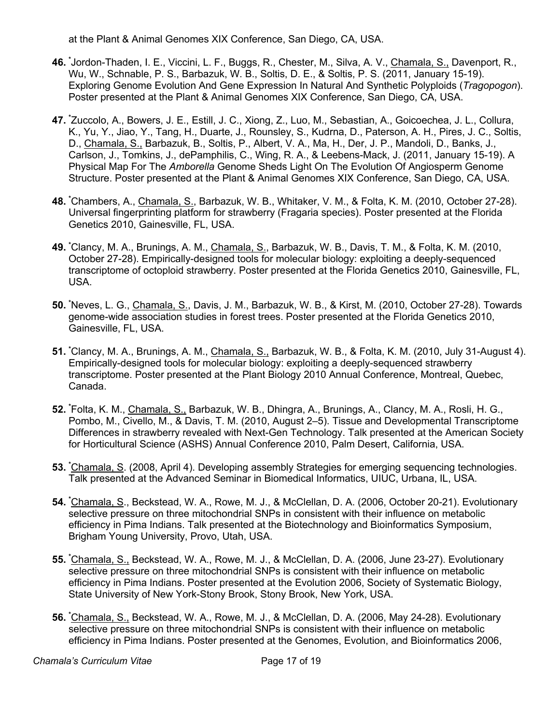at the Plant & Animal Genomes XIX Conference, San Diego, CA, USA.

- **46. \*** Jordon-Thaden, I. E., Viccini, L. F., Buggs, R., Chester, M., Silva, A. V., Chamala, S., Davenport, R., Wu, W., Schnable, P. S., Barbazuk, W. B., Soltis, D. E., & Soltis, P. S. (2011, January 15-19). Exploring Genome Evolution And Gene Expression In Natural And Synthetic Polyploids (*Tragopogon*). Poster presented at the Plant & Animal Genomes XIX Conference, San Diego, CA, USA.
- **47. \*** Zuccolo, A., Bowers, J. E., Estill, J. C., Xiong, Z., Luo, M., Sebastian, A., Goicoechea, J. L., Collura, K., Yu, Y., Jiao, Y., Tang, H., Duarte, J., Rounsley, S., Kudrna, D., Paterson, A. H., Pires, J. C., Soltis, D., Chamala, S., Barbazuk, B., Soltis, P., Albert, V. A., Ma, H., Der, J. P., Mandoli, D., Banks, J., Carlson, J., Tomkins, J., dePamphilis, C., Wing, R. A., & Leebens-Mack, J. (2011, January 15-19). A Physical Map For The *Amborella* Genome Sheds Light On The Evolution Of Angiosperm Genome Structure. Poster presented at the Plant & Animal Genomes XIX Conference, San Diego, CA, USA.
- **48. \*** Chambers, A., Chamala, S., Barbazuk, W. B., Whitaker, V. M., & Folta, K. M. (2010, October 27-28). Universal fingerprinting platform for strawberry (Fragaria species). Poster presented at the Florida Genetics 2010, Gainesville, FL, USA.
- **49. \*** Clancy, M. A., Brunings, A. M., Chamala, S., Barbazuk, W. B., Davis, T. M., & Folta, K. M. (2010, October 27-28). Empirically-designed tools for molecular biology: exploiting a deeply-sequenced transcriptome of octoploid strawberry. Poster presented at the Florida Genetics 2010, Gainesville, FL, USA.
- **50. \*** Neves, L. G., Chamala, S., Davis, J. M., Barbazuk, W. B., & Kirst, M. (2010, October 27-28). Towards genome-wide association studies in forest trees. Poster presented at the Florida Genetics 2010, Gainesville, FL, USA.
- **51. \*** Clancy, M. A., Brunings, A. M., Chamala, S., Barbazuk, W. B., & Folta, K. M. (2010, July 31-August 4). Empirically-designed tools for molecular biology: exploiting a deeply-sequenced strawberry transcriptome. Poster presented at the Plant Biology 2010 Annual Conference, Montreal, Quebec, Canada.
- **52. \*** Folta, K. M., Chamala, S., Barbazuk, W. B., Dhingra, A., Brunings, A., Clancy, M. A., Rosli, H. G., Pombo, M., Civello, M., & Davis, T. M. (2010, August 2–5). Tissue and Developmental Transcriptome Differences in strawberry revealed with Next-Gen Technology. Talk presented at the American Society for Horticultural Science (ASHS) Annual Conference 2010, Palm Desert, California, USA.
- **53. \*** Chamala, S. (2008, April 4). Developing assembly Strategies for emerging sequencing technologies. Talk presented at the Advanced Seminar in Biomedical Informatics, UIUC, Urbana, IL, USA.
- **54. \*** Chamala, S., Beckstead, W. A., Rowe, M. J., & McClellan, D. A. (2006, October 20-21). Evolutionary selective pressure on three mitochondrial SNPs in consistent with their influence on metabolic efficiency in Pima Indians. Talk presented at the Biotechnology and Bioinformatics Symposium, Brigham Young University, Provo, Utah, USA.
- **55. \*** Chamala, S., Beckstead, W. A., Rowe, M. J., & McClellan, D. A. (2006, June 23-27). Evolutionary selective pressure on three mitochondrial SNPs is consistent with their influence on metabolic efficiency in Pima Indians. Poster presented at the Evolution 2006, Society of Systematic Biology, State University of New York-Stony Brook, Stony Brook, New York, USA.
- **56. \*** Chamala, S., Beckstead, W. A., Rowe, M. J., & McClellan, D. A. (2006, May 24-28). Evolutionary selective pressure on three mitochondrial SNPs is consistent with their influence on metabolic efficiency in Pima Indians. Poster presented at the Genomes, Evolution, and Bioinformatics 2006,

**Chamala's Curriculum Vitae Chamala's Curriculum Vitae Chamala**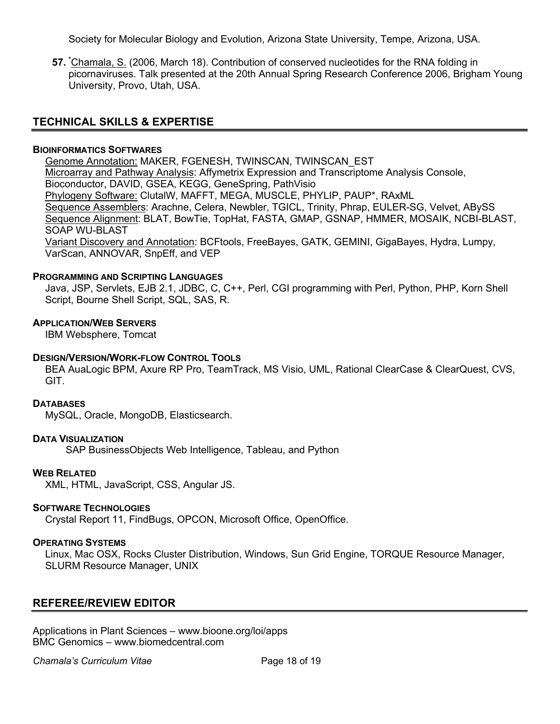Society for Molecular Biology and Evolution, Arizona State University, Tempe, Arizona, USA.

**57. \*** Chamala, S. (2006, March 18). Contribution of conserved nucleotides for the RNA folding in picornaviruses. Talk presented at the 20th Annual Spring Research Conference 2006, Brigham Young University, Provo, Utah, USA.

# **TECHNICAL SKILLS & EXPERTISE**

### **BIOINFORMATICS SOFTWARES**

Genome Annotation: MAKER, FGENESH, TWINSCAN, TWINSCAN\_EST Microarray and Pathway Analysis: Affymetrix Expression and Transcriptome Analysis Console, Bioconductor, DAVID, GSEA, KEGG, GeneSpring, PathVisio Phylogeny Software: ClutalW, MAFFT, MEGA, MUSCLE, PHYLIP, PAUP\*, RAxML Sequence Assemblers: Arachne, Celera, Newbler, TGICL, Trinity, Phrap, EULER-SG, Velvet, ABySS Sequence Alignment: BLAT, BowTie, TopHat, FASTA, GMAP, GSNAP, HMMER, MOSAIK, NCBI-BLAST, SOAP WU-BLAST Variant Discovery and Annotation: BCFtools, FreeBayes, GATK, GEMINI, GigaBayes, Hydra, Lumpy,

VarScan, ANNOVAR, SnpEff, and VEP

### **PROGRAMMING AND SCRIPTING LANGUAGES**

Java, JSP, Servlets, EJB 2.1, JDBC, C, C++, Perl, CGI programming with Perl, Python, PHP, Korn Shell Script, Bourne Shell Script, SQL, SAS, R.

### **APPLICATION/WEB SERVERS**

IBM Websphere, Tomcat

### **DESIGN/VERSION/WORK-FLOW CONTROL TOOLS**

BEA AuaLogic BPM, Axure RP Pro, TeamTrack, MS Visio, UML, Rational ClearCase & ClearQuest, CVS, GIT.

### **DATABASES**

MySQL, Oracle, MongoDB, Elasticsearch.

### **DATA VISUALIZATION**

SAP BusinessObjects Web Intelligence, Tableau, and Python

### **WEB RELATED**

XML, HTML, JavaScript, CSS, Angular JS.

### **SOFTWARE TECHNOLOGIES**

Crystal Report 11, FindBugs, OPCON, Microsoft Office, OpenOffice.

### **OPERATING SYSTEMS**

Linux, Mac OSX, Rocks Cluster Distribution, Windows, Sun Grid Engine, TORQUE Resource Manager, SLURM Resource Manager, UNIX

# **REFEREE/REVIEW EDITOR**

Applications in Plant Sciences – www.bioone.org/loi/apps BMC Genomics – www.biomedcentral.com

**Chamala's Curriculum Vitae Community Chamala's Curriculum Vitae Community Community Page 18 of 19**